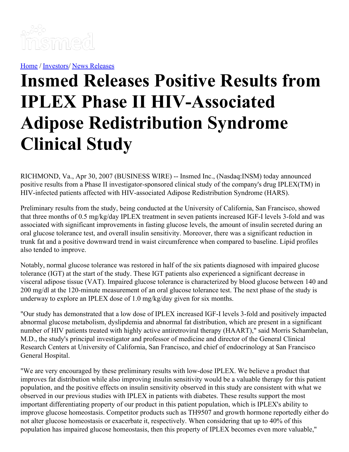

[Home](https://insmed.com/) / [Investors](https://investor.insmed.com/index)/ News [Releases](https://investor.insmed.com/releases)

# **Insmed Releases Positive Results from IPLEX Phase II HIV-Associated Adipose Redistribution Syndrome Clinical Study**

RICHMOND, Va., Apr 30, 2007 (BUSINESS WIRE) -- Insmed Inc., (Nasdaq:INSM) today announced positive results from a Phase II investigator-sponsored clinical study of the company's drug IPLEX(TM) in HIV-infected patients affected with HIV-associated Adipose Redistribution Syndrome (HARS).

Preliminary results from the study, being conducted at the University of California, San Francisco, showed that three months of 0.5 mg/kg/day IPLEX treatment in seven patients increased IGF-I levels 3-fold and was associated with significant improvements in fasting glucose levels, the amount of insulin secreted during an oral glucose tolerance test, and overall insulin sensitivity. Moreover, there was a significant reduction in trunk fat and a positive downward trend in waist circumference when compared to baseline. Lipid profiles also tended to improve.

Notably, normal glucose tolerance was restored in half of the six patients diagnosed with impaired glucose tolerance (IGT) at the start of the study. These IGT patients also experienced a significant decrease in visceral adipose tissue (VAT). Impaired glucose tolerance is characterized by blood glucose between 140 and 200 mg/dl at the 120-minute measurement of an oral glucose tolerance test. The next phase of the study is underway to explore an IPLEX dose of 1.0 mg/kg/day given for six months.

"Our study has demonstrated that a low dose of IPLEX increased IGF-I levels 3-fold and positively impacted abnormal glucose metabolism, dyslipdemia and abnormal fat distribution, which are present in a significant number of HIV patients treated with highly active antiretroviral therapy (HAART)," said Morris Schambelan, M.D., the study's principal investigator and professor of medicine and director of the General Clinical Research Centers at University of California, San Francisco, and chief of endocrinology at San Francisco General Hospital.

"We are very encouraged by these preliminary results with low-dose IPLEX. We believe a product that improves fat distribution while also improving insulin sensitivity would be a valuable therapy for this patient population, and the positive effects on insulin sensitivity observed in this study are consistent with what we observed in our previous studies with IPLEX in patients with diabetes. These results support the most important differentiating property of our product in this patient population, which is IPLEX's ability to improve glucose homeostasis. Competitor products such as TH9507 and growth hormone reportedly either do not alter glucose homeostasis or exacerbate it, respectively. When considering that up to 40% of this population has impaired glucose homeostasis, then this property of IPLEX becomes even more valuable,"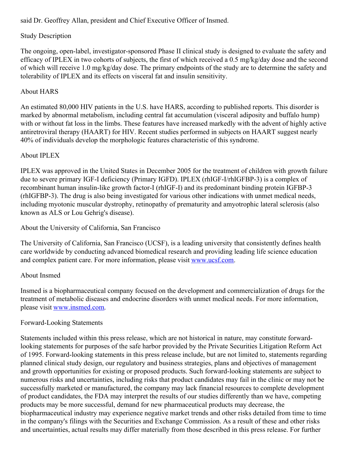said Dr. Geoffrey Allan, president and Chief Executive Officer of Insmed.

# Study Description

The ongoing, open-label, investigator-sponsored Phase II clinical study is designed to evaluate the safety and efficacy of IPLEX in two cohorts of subjects, the first of which received a 0.5 mg/kg/day dose and the second of which will receive 1.0 mg/kg/day dose. The primary endpoints of the study are to determine the safety and tolerability of IPLEX and its effects on visceral fat and insulin sensitivity.

# About HARS

An estimated 80,000 HIV patients in the U.S. have HARS, according to published reports. This disorder is marked by abnormal metabolism, including central fat accumulation (visceral adiposity and buffalo hump) with or without fat loss in the limbs. These features have increased markedly with the advent of highly active antiretroviral therapy (HAART) for HIV. Recent studies performed in subjects on HAART suggest nearly 40% of individuals develop the morphologic features characteristic of this syndrome.

## About IPLEX

IPLEX was approved in the United States in December 2005 for the treatment of children with growth failure due to severe primary IGF-I deficiency (Primary IGFD). IPLEX (rhIGF-I/rhIGFBP-3) is a complex of recombinant human insulin-like growth factor-I (rhIGF-I) and its predominant binding protein IGFBP-3 (rhIGFBP-3). The drug is also being investigated for various other indications with unmet medical needs, including myotonic muscular dystrophy, retinopathy of prematurity and amyotrophic lateral sclerosis (also known as ALS or Lou Gehrig's disease).

### About the University of California, San Francisco

The University of California, San Francisco (UCSF), is a leading university that consistently defines health care worldwide by conducting advanced biomedical research and providing leading life science education and complex patient care. For more information, please visit [www.ucsf.com](http://www.ucsf.com/).

#### About Insmed

Insmed is a biopharmaceutical company focused on the development and commercialization of drugs for the treatment of metabolic diseases and endocrine disorders with unmet medical needs. For more information, please visit [www.insmed.com](http://www.insmed.com/).

#### Forward-Looking Statements

Statements included within this press release, which are not historical in nature, may constitute forwardlooking statements for purposes of the safe harbor provided by the Private Securities Litigation Reform Act of 1995. Forward-looking statements in this press release include, but are not limited to, statements regarding planned clinical study design, our regulatory and business strategies, plans and objectives of management and growth opportunities for existing or proposed products. Such forward-looking statements are subject to numerous risks and uncertainties, including risks that product candidates may fail in the clinic or may not be successfully marketed or manufactured, the company may lack financial resources to complete development of product candidates, the FDA may interpret the results of our studies differently than we have, competing products may be more successful, demand for new pharmaceutical products may decrease, the biopharmaceutical industry may experience negative market trends and other risks detailed from time to time in the company's filings with the Securities and Exchange Commission. As a result of these and other risks and uncertainties, actual results may differ materially from those described in this press release. For further